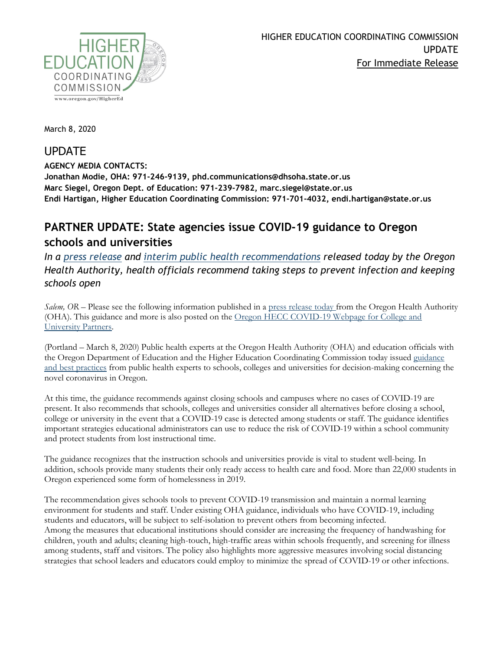

March 8, 2020

## UPDATE

**AGENCY MEDIA CONTACTS: Jonathan Modie, OHA: 971-246-9139, phd.communications@dhsoha.state.or.us Marc Siegel, Oregon Dept. of Education: 971-239-7982, marc.siegel@state.or.us Endi Hartigan, Higher Education Coordinating Commission: 971-701-4032, endi.hartigan@state.or.us**

## **PARTNER UPDATE: State agencies issue COVID-19 guidance to Oregon schools and universities**

*In a [press release](https://www.oregon.gov/oha/ERD/Pages/State-agencies-issue-COVID-19-guidance-Oregon-schools-universities.aspx) and [interim public health recommendations](https://www.oregon.gov/oha/PH/DISEASESCONDITIONS/DISEASESAZ/Emerging%20Respitory%20Infections/COVID-19-cases-in-Oregon-schools.pdf) released today by the Oregon Health Authority, health officials recommend taking steps to prevent infection and keeping schools open*

*Salem, OR –* Please see the following information published in a [press release today](https://www.oregon.gov/oha/ERD/Pages/State-agencies-issue-COVID-19-guidance-Oregon-schools-universities.aspx) from the Oregon Health Authority (OHA). This guidance and more is also posted on the [Oregon HECC COVID-19 Webpage for College and](https://www.oregon.gov/highered/about/Pages/COVID19.aspx)  [University Partners.](https://www.oregon.gov/highered/about/Pages/COVID19.aspx)

(Portland – March 8, 2020) Public health experts at the Oregon Health Authority (OHA) and education officials with the Oregon Department of Education and the Higher Education Coordinating Commission today issued [guidance](https://www.oregon.gov/oha/PH/DISEASESCONDITIONS/DISEASESAZ/Emerging%20Respitory%20Infections/COVID-19-cases-in-Oregon-schools.pdf)  [and best practices](https://www.oregon.gov/oha/PH/DISEASESCONDITIONS/DISEASESAZ/Emerging%20Respitory%20Infections/COVID-19-cases-in-Oregon-schools.pdf) from public health experts to schools, colleges and universities for decision-making concerning the novel coronavirus in Oregon.

At this time, the guidance recommends against closing schools and campuses where no cases of COVID-19 are present. It also recommends that schools, colleges and universities consider all alternatives before closing a school, college or university in the event that a COVID-19 case is detected among students or staff. The guidance identifies important strategies educational administrators can use to reduce the risk of COVID-19 within a school community and protect students from lost instructional time.

The guidance recognizes that the instruction schools and universities provide is vital to student well-being. In addition, schools provide many students their only ready access to health care and food. More than 22,000 students in Oregon experienced some form of homelessness in 2019.

The recommendation gives schools tools to prevent COVID-19 transmission and maintain a normal learning environment for students and staff. Under existing OHA guidance, individuals who have COVID-19, including students and educators, will be subject to self-isolation to prevent others from becoming infected. Among the measures that educational institutions should consider are increasing the frequency of handwashing for children, youth and adults; cleaning high-touch, high-traffic areas within schools frequently, and screening for illness among students, staff and visitors. The policy also highlights more aggressive measures involving social distancing strategies that school leaders and educators could employ to minimize the spread of COVID-19 or other infections.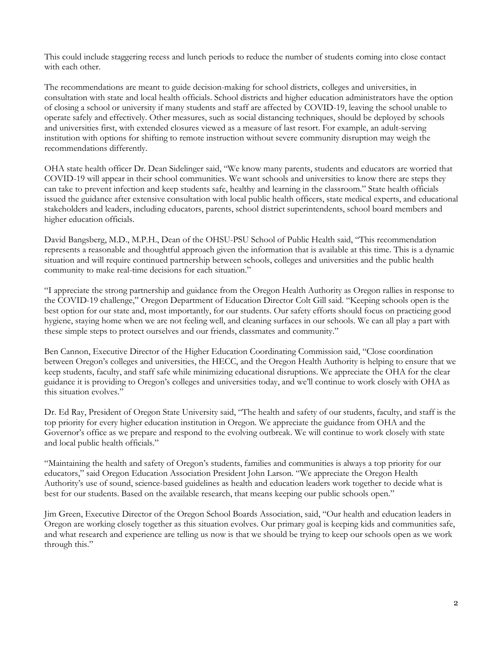This could include staggering recess and lunch periods to reduce the number of students coming into close contact with each other.

The recommendations are meant to guide decision-making for school districts, colleges and universities, in consultation with state and local health officials. School districts and higher education administrators have the option of closing a school or university if many students and staff are affected by COVID-19, leaving the school unable to operate safely and effectively. Other measures, such as social distancing techniques, should be deployed by schools and universities first, with extended closures viewed as a measure of last resort. For example, an adult-serving institution with options for shifting to remote instruction without severe community disruption may weigh the recommendations differently.

OHA state health officer Dr. Dean Sidelinger said, "We know many parents, students and educators are worried that COVID-19 will appear in their school communities. We want schools and universities to know there are steps they can take to prevent infection and keep students safe, healthy and learning in the classroom." State health officials issued the guidance after extensive consultation with local public health officers, state medical experts, and educational stakeholders and leaders, including educators, parents, school district superintendents, school board members and higher education officials.

David Bangsberg, M.D., M.P.H., Dean of the OHSU-PSU School of Public Health said, "This recommendation represents a reasonable and thoughtful approach given the information that is available at this time. This is a dynamic situation and will require continued partnership between schools, colleges and universities and the public health community to make real-time decisions for each situation."

"I appreciate the strong partnership and guidance from the Oregon Health Authority as Oregon rallies in response to the COVID-19 challenge," Oregon Department of Education Director Colt Gill said. "Keeping schools open is the best option for our state and, most importantly, for our students. Our safety efforts should focus on practicing good hygiene, staying home when we are not feeling well, and cleaning surfaces in our schools. We can all play a part with these simple steps to protect ourselves and our friends, classmates and community."

Ben Cannon, Executive Director of the Higher Education Coordinating Commission said, "Close coordination between Oregon's colleges and universities, the HECC, and the Oregon Health Authority is helping to ensure that we keep students, faculty, and staff safe while minimizing educational disruptions. We appreciate the OHA for the clear guidance it is providing to Oregon's colleges and universities today, and we'll continue to work closely with OHA as this situation evolves."

Dr. Ed Ray, President of Oregon State University said, "The health and safety of our students, faculty, and staff is the top priority for every higher education institution in Oregon. We appreciate the guidance from OHA and the Governor's office as we prepare and respond to the evolving outbreak. We will continue to work closely with state and local public health officials."

"Maintaining the health and safety of Oregon's students, families and communities is always a top priority for our educators," said Oregon Education Association President John Larson. "We appreciate the Oregon Health Authority's use of sound, science-based guidelines as health and education leaders work together to decide what is best for our students. Based on the available research, that means keeping our public schools open."

Jim Green, Executive Director of the Oregon School Boards Association, said, "Our health and education leaders in Oregon are working closely together as this situation evolves. Our primary goal is keeping kids and communities safe, and what research and experience are telling us now is that we should be trying to keep our schools open as we work through this."